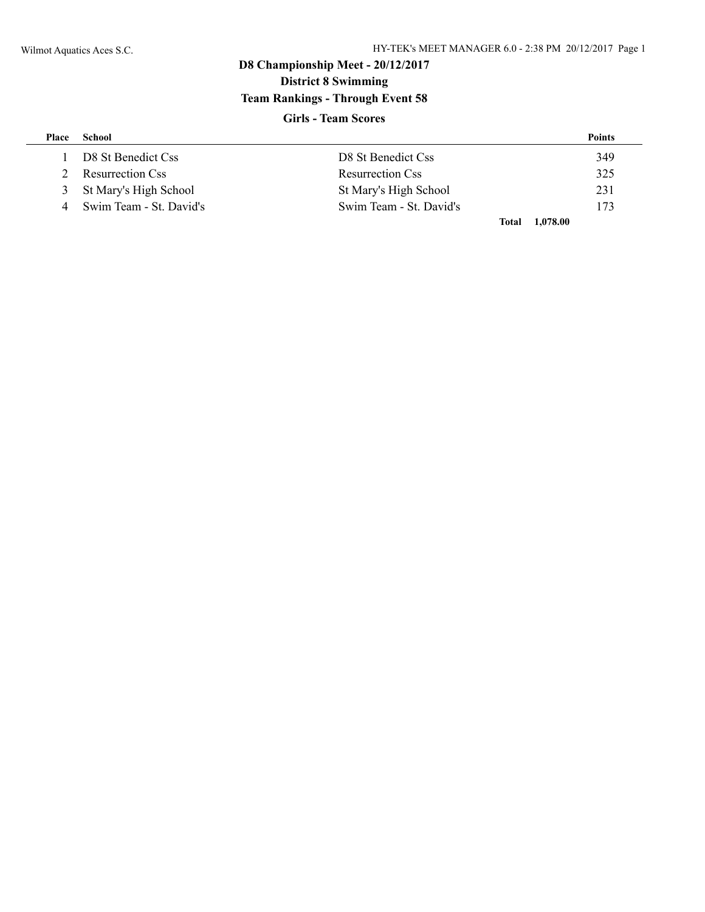# **D8 Championship Meet - 20/12/2017 District 8 Swimming Team Rankings - Through Event 58**

## **Girls - Team Scores**

| Place | School                  |                         | <b>Points</b> |
|-------|-------------------------|-------------------------|---------------|
|       | D8 St Benedict Css      | D8 St Benedict Css      | 349           |
|       | <b>Resurrection Css</b> | <b>Resurrection Css</b> | 325           |
| 3     | St Mary's High School   | St Mary's High School   | 231           |
|       | Swim Team - St. David's | Swim Team - St. David's | 173           |
|       |                         | Total                   | 1,078.00      |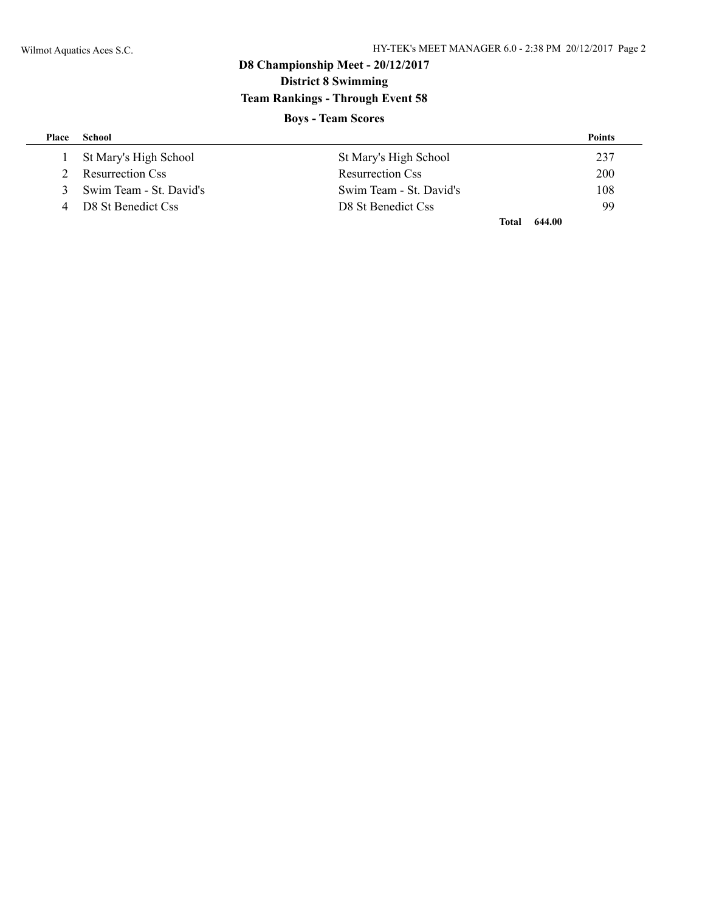# **D8 Championship Meet - 20/12/2017 District 8 Swimming Team Rankings - Through Event 58**

## **Boys - Team Scores**

| Place | School                  |                         | <b>Points</b> |
|-------|-------------------------|-------------------------|---------------|
|       | St Mary's High School   | St Mary's High School   | 237           |
|       | <b>Resurrection Css</b> | <b>Resurrection Css</b> | 200           |
| 3     | Swim Team - St. David's | Swim Team - St. David's | 108           |
| 4     | D8 St Benedict Css      | D8 St Benedict Css      | 99            |
|       |                         | <b>Total</b>            | 644.00        |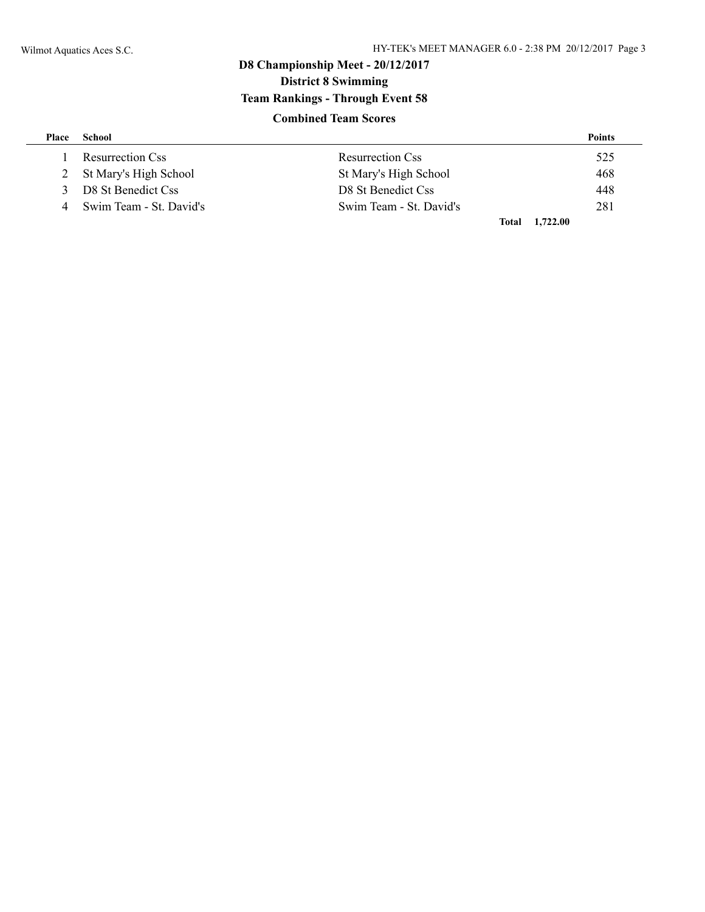# **D8 Championship Meet - 20/12/2017 District 8 Swimming Team Rankings - Through Event 58 Combined Team Scores**

| Place         | School                    |                         | <b>Points</b> |
|---------------|---------------------------|-------------------------|---------------|
|               | <b>Resurrection Css</b>   | <b>Resurrection Css</b> | 525           |
|               | 2 St Mary's High School   | St Mary's High School   | 468           |
| $\mathcal{R}$ | D8 St Benedict Css        | D8 St Benedict Css      | 448           |
|               | 4 Swim Team - St. David's | Swim Team - St. David's | 281           |
|               |                           | Total                   | 1,722.00      |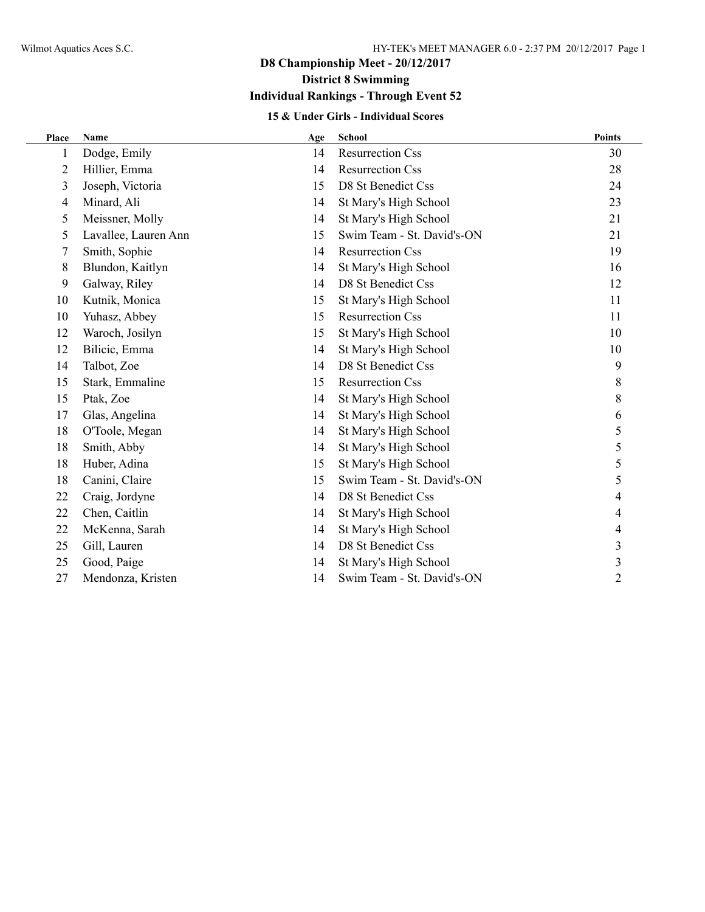## **Individual Rankings - Through Event 52**

## **15 & Under Girls - Individual Scores**

| Place | Name                 | Age | <b>School</b>              | <b>Points</b> |
|-------|----------------------|-----|----------------------------|---------------|
| 1     | Dodge, Emily         | 14  | <b>Resurrection Css</b>    | 30            |
| 2     | Hillier, Emma        | 14  | <b>Resurrection Css</b>    | 28            |
| 3     | Joseph, Victoria     | 15  | D8 St Benedict Css         | 24            |
| 4     | Minard, Ali          | 14  | St Mary's High School      | 23            |
| 5     | Meissner, Molly      | 14  | St Mary's High School      | 21            |
| 5     | Lavallee, Lauren Ann | 15  | Swim Team - St. David's-ON | 21            |
| 7     | Smith, Sophie        | 14  | <b>Resurrection Css</b>    | 19            |
| 8     | Blundon, Kaitlyn     | 14  | St Mary's High School      | 16            |
| 9     | Galway, Riley        | 14  | D8 St Benedict Css         | 12            |
| 10    | Kutnik, Monica       | 15  | St Mary's High School      | 11            |
| 10    | Yuhasz, Abbey        | 15  | <b>Resurrection Css</b>    | 11            |
| 12    | Waroch, Josilyn      | 15  | St Mary's High School      | 10            |
| 12    | Bilicic, Emma        | 14  | St Mary's High School      | 10            |
| 14    | Talbot, Zoe          | 14  | D8 St Benedict Css         | 9             |
| 15    | Stark, Emmaline      | 15  | <b>Resurrection Css</b>    | 8             |
| 15    | Ptak, Zoe            | 14  | St Mary's High School      | 8             |
| 17    | Glas, Angelina       | 14  | St Mary's High School      | 6             |
| 18    | O'Toole, Megan       | 14  | St Mary's High School      | 5             |
| 18    | Smith, Abby          | 14  | St Mary's High School      | 5             |
| 18    | Huber, Adina         | 15  | St Mary's High School      | 5             |
| 18    | Canini, Claire       | 15  | Swim Team - St. David's-ON | 5             |
| 22    | Craig, Jordyne       | 14  | D8 St Benedict Css         |               |
| 22    | Chen, Caitlin        | 14  | St Mary's High School      | 4             |
| 22    | McKenna, Sarah       | 14  | St Mary's High School      | 4             |
| 25    | Gill, Lauren         | 14  | D8 St Benedict Css         | 3             |
| 25    | Good, Paige          | 14  | St Mary's High School      | 3             |
| 27    | Mendonza, Kristen    | 14  | Swim Team - St. David's-ON | 2             |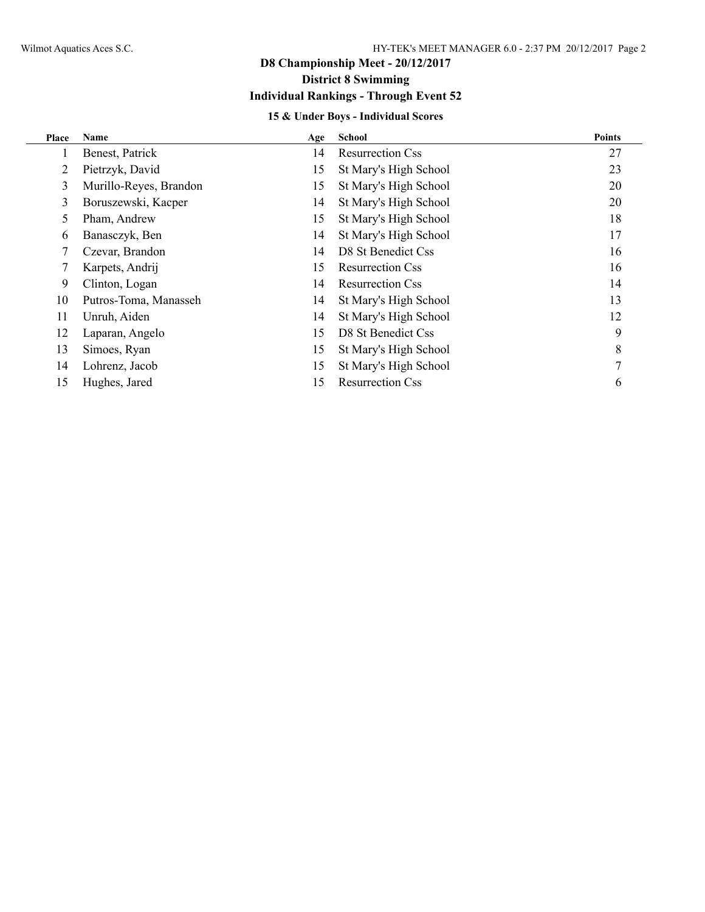## **D8 Championship Meet - 20/12/2017 District 8 Swimming Individual Rankings - Through Event 52**

## **15 & Under Boys - Individual Scores**

| Place | Name                   | Age | School                  | <b>Points</b> |
|-------|------------------------|-----|-------------------------|---------------|
|       | Benest, Patrick        | 14  | <b>Resurrection Css</b> | 27            |
|       | Pietrzyk, David        | 15  | St Mary's High School   | 23            |
| 3     | Murillo-Reyes, Brandon | 15  | St Mary's High School   | 20            |
| 3     | Boruszewski, Kacper    | 14  | St Mary's High School   | 20            |
| 5.    | Pham, Andrew           | 15  | St Mary's High School   | 18            |
| 6     | Banasczyk, Ben         | 14  | St Mary's High School   | 17            |
|       | Czevar, Brandon        | 14  | D8 St Benedict Css      | 16            |
|       | Karpets, Andrij        | 15  | <b>Resurrection Css</b> | 16            |
| 9     | Clinton, Logan         | 14  | <b>Resurrection Css</b> | 14            |
| 10    | Putros-Toma, Manasseh  | 14  | St Mary's High School   | 13            |
| 11    | Unruh, Aiden           | 14  | St Mary's High School   | 12            |
| 12    | Laparan, Angelo        | 15  | D8 St Benedict Css      | 9             |
| 13    | Simoes, Ryan           | 15  | St Mary's High School   | 8             |
| 14    | Lohrenz, Jacob         | 15  | St Mary's High School   |               |
| 15    | Hughes, Jared          | 15  | <b>Resurrection Css</b> | 6             |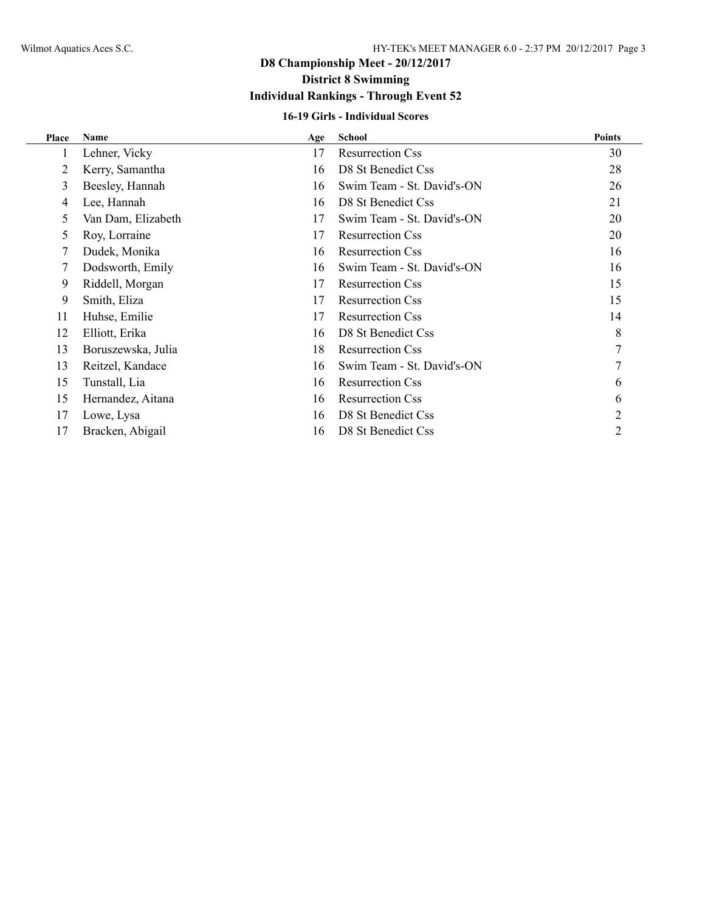# **D8 Championship Meet - 20/12/2017**

# **District 8 Swimming**

## **Individual Rankings - Through Event 52**

## **16-19 Girls - Individual Scores**

| Place | Name               | Age | <b>School</b>              | <b>Points</b> |
|-------|--------------------|-----|----------------------------|---------------|
| 1     | Lehner, Vicky      | 17  | <b>Resurrection Css</b>    | 30            |
| 2     | Kerry, Samantha    | 16  | D8 St Benedict Css         | 28            |
| 3     | Beesley, Hannah    | 16  | Swim Team - St. David's-ON | 26            |
| 4     | Lee, Hannah        | 16  | D8 St Benedict Css         | 21            |
| 5.    | Van Dam, Elizabeth | 17  | Swim Team - St. David's-ON | 20            |
| 5     | Roy, Lorraine      | 17  | <b>Resurrection Css</b>    | 20            |
|       | Dudek, Monika      | 16  | <b>Resurrection Css</b>    | 16            |
|       | Dodsworth, Emily   | 16  | Swim Team - St. David's-ON | 16            |
| 9     | Riddell, Morgan    | 17  | <b>Resurrection Css</b>    | 15            |
| 9     | Smith, Eliza       | 17  | <b>Resurrection Css</b>    | 15            |
| 11    | Huhse, Emilie      | 17  | <b>Resurrection Css</b>    | 14            |
| 12    | Elliott, Erika     | 16  | D8 St Benedict Css         | 8             |
| 13    | Boruszewska, Julia | 18  | <b>Resurrection Css</b>    |               |
| 13    | Reitzel, Kandace   | 16  | Swim Team - St. David's-ON |               |
| 15    | Tunstall, Lia      | 16  | <b>Resurrection Css</b>    | 6             |
| 15    | Hernandez, Aitana  | 16  | <b>Resurrection Css</b>    | 6             |
| 17    | Lowe, Lysa         | 16  | D8 St Benedict Css         | 2             |
| 17    | Bracken, Abigail   | 16  | D8 St Benedict Css         | 2             |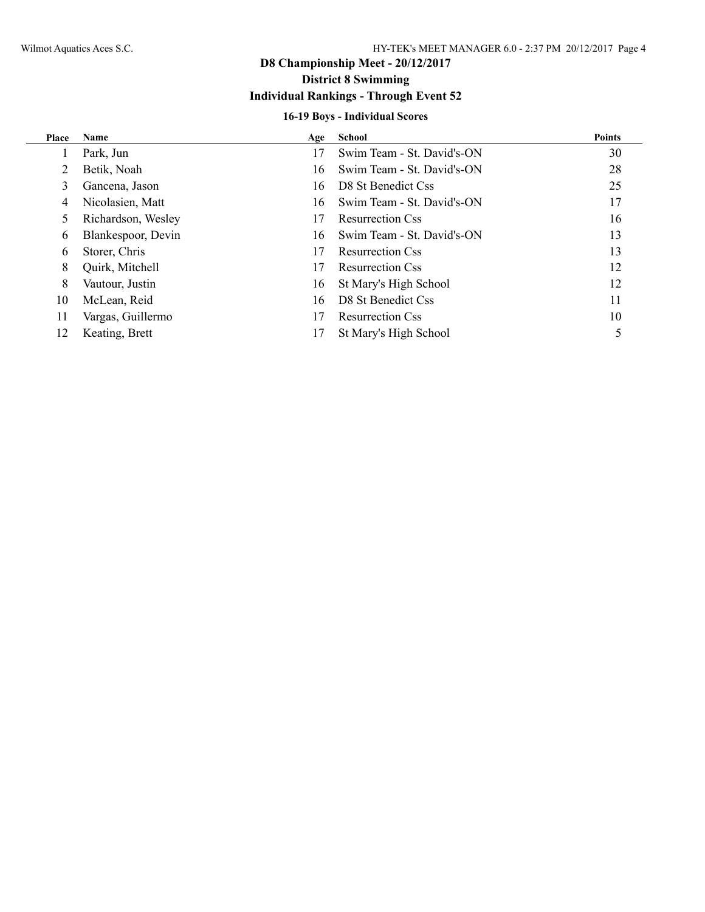## **Individual Rankings - Through Event 52**

## **16-19 Boys - Individual Scores**

| Place | <b>Name</b>        | Age | School                     | <b>Points</b> |
|-------|--------------------|-----|----------------------------|---------------|
|       | Park, Jun          | 17  | Swim Team - St. David's-ON | 30            |
|       | Betik, Noah        | 16  | Swim Team - St. David's-ON | 28            |
| 3     | Gancena, Jason     | 16  | D8 St Benedict Css         | 25            |
| 4     | Nicolasien, Matt   | 16  | Swim Team - St. David's-ON | 17            |
|       | Richardson, Wesley | 17  | <b>Resurrection Css</b>    | 16            |
| 6     | Blankespoor, Devin | 16  | Swim Team - St. David's-ON | 13            |
| 6     | Storer, Chris      | 17  | <b>Resurrection Css</b>    | 13            |
| 8     | Quirk, Mitchell    | 17  | <b>Resurrection Css</b>    | 12            |
| 8     | Vautour, Justin    | 16  | St Mary's High School      | 12            |
| 10    | McLean, Reid       | 16  | D8 St Benedict Css         | 11            |
| 11    | Vargas, Guillermo  | 17  | <b>Resurrection Css</b>    | 10            |
| 12    | Keating, Brett     | 17  | St Mary's High School      |               |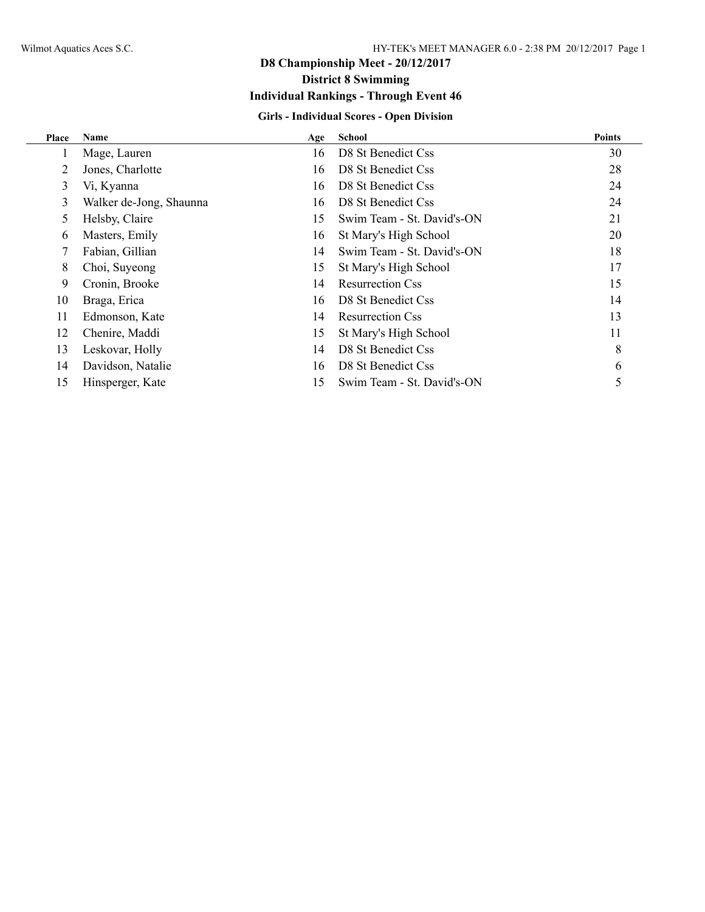## **D8 Championship Meet - 20/12/2017 District 8 Swimming Individual Rankings - Through Event 46**

## **Girls - Individual Scores - Open Division**

| Place | <b>Name</b>             | Age | <b>School</b>              | <b>Points</b> |
|-------|-------------------------|-----|----------------------------|---------------|
| 1     | Mage, Lauren            | 16  | D8 St Benedict Css         | 30            |
| 2     | Jones, Charlotte        | 16  | D8 St Benedict Css         | 28            |
| 3     | Vi, Kyanna              | 16  | D8 St Benedict Css         | 24            |
| 3     | Walker de-Jong, Shaunna | 16  | D8 St Benedict Css         | 24            |
| 5     | Helsby, Claire          | 15  | Swim Team - St. David's-ON | 21            |
| 6     | Masters, Emily          | 16  | St Mary's High School      | 20            |
| 7     | Fabian, Gillian         | 14  | Swim Team - St. David's-ON | 18            |
| 8     | Choi, Suyeong           | 15  | St Mary's High School      | 17            |
| 9     | Cronin, Brooke          | 14  | <b>Resurrection Css</b>    | 15            |
| 10    | Braga, Erica            | 16  | D8 St Benedict Css         | 14            |
| 11    | Edmonson, Kate          | 14  | <b>Resurrection Css</b>    | 13            |
| 12    | Chenire, Maddi          | 15  | St Mary's High School      | 11            |
| 13    | Leskovar, Holly         | 14  | D8 St Benedict Css         | 8             |
| 14    | Davidson, Natalie       | 16  | D8 St Benedict Css         | 6             |
| 15    | Hinsperger, Kate        | 15  | Swim Team - St. David's-ON |               |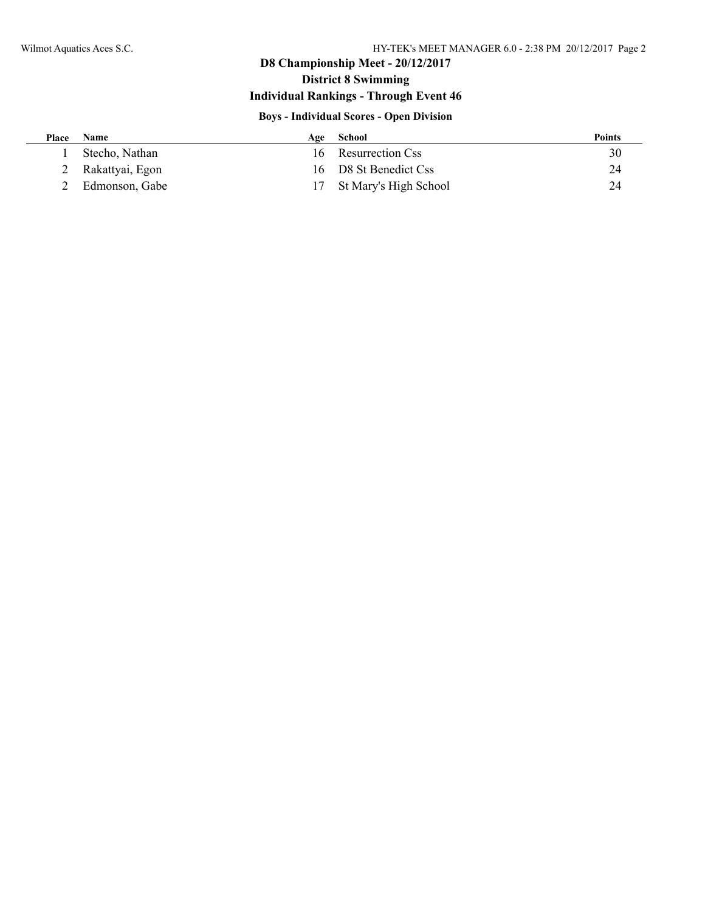## **D8 Championship Meet - 20/12/2017**

## **District 8 Swimming**

## **Individual Rankings - Through Event 46**

### **Boys - Individual Scores - Open Division**

| Place | Name            | Age | School                   | <b>Points</b> |
|-------|-----------------|-----|--------------------------|---------------|
|       | Stecho, Nathan  | 16. | Resurrection Css         | 30            |
|       | Rakattyai, Egon |     | 16 D8 St Benedict Css    | 24            |
|       | Edmonson, Gabe  |     | 17 St Mary's High School | 24            |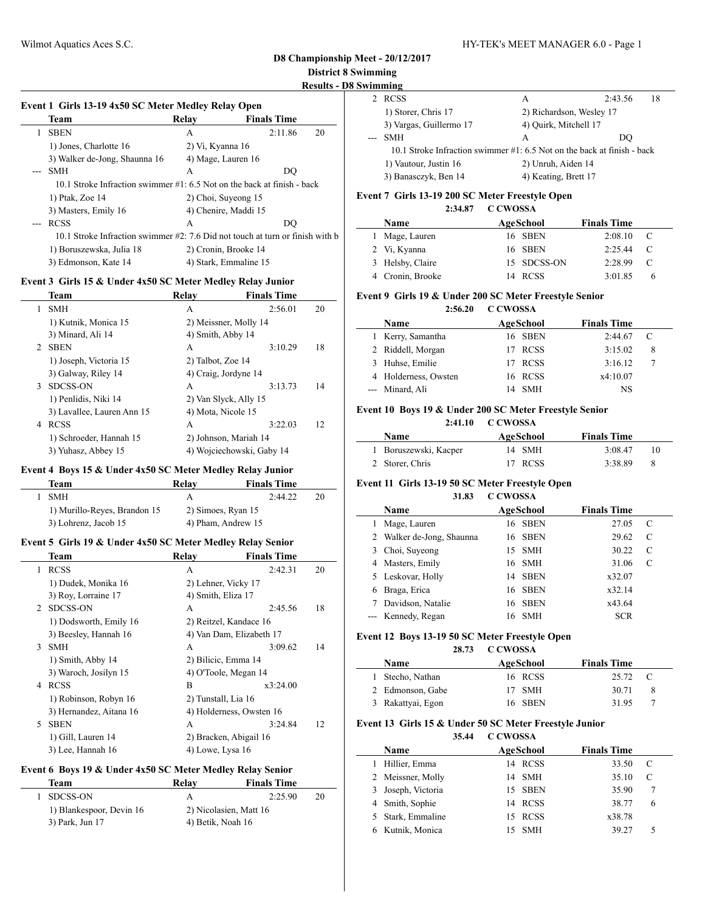**Results - D8 Swimming**

| ,,,,,,,,,,,,,,,,,,                                                      |                          |         |    |
|-------------------------------------------------------------------------|--------------------------|---------|----|
| <b>RCSS</b>                                                             | А                        | 2:43.56 | 18 |
| 1) Storer, Chris 17                                                     | 2) Richardson, Wesley 17 |         |    |
| 3) Vargas, Guillermo 17                                                 | 4) Quirk, Mitchell 17    |         |    |
| <b>SMH</b>                                                              | А                        | DO      |    |
| 10.1 Stroke Infraction swimmer #1: 6.5 Not on the back at finish - back |                          |         |    |
| 1) Vautour, Justin 16                                                   | 2) Unruh, Aiden 14       |         |    |
| 3) Banasczyk, Ben 14                                                    | 4) Keating, Brett 17     |         |    |
|                                                                         |                          |         |    |

#### **Event 7 Girls 13-19 200 SC Meter Freestyle Open**

#### **2:34.87 C CWOSSA**

| <b>Name</b>      | AgeSchool   | <b>Finals Time</b> |               |
|------------------|-------------|--------------------|---------------|
| 1 Mage, Lauren   | 16 SBEN     | 2:08.10            |               |
| 2 Vi, Kyanna     | 16 SBEN     | 2.2544             | $\mathbf{C}$  |
| 3 Helsby, Claire | 15 SDCSS-ON | 2:28.99            | $\mathcal{C}$ |
| 4 Cronin, Brooke | 14 RCSS     | 3:01.85            |               |

#### **Event 9 Girls 19 & Under 200 SC Meter Freestyle Senior**

#### **2:56.20 C CWOSSA**

| <b>Name</b>          | AgeSchool | <b>Finals Time</b> |   |
|----------------------|-----------|--------------------|---|
| 1 Kerry, Samantha    | 16 SBEN   | 2:44.67            |   |
| 2 Riddell, Morgan    | 17 RCSS   | 3:15.02            | 8 |
| 3 Huhse, Emilie      | 17 RCSS   | 3:16.12            |   |
| 4 Holderness, Owsten | 16 RCSS   | x4:10.07           |   |
| --- Minard, Ali      | 14 SMH    | NS                 |   |

#### **Event 10 Boys 19 & Under 200 SC Meter Freestyle Senior**

#### **2:41.10 C CWOSSA**

| <b>Name</b>           | AgeSchool |         | <b>Finals Time</b> |    |
|-----------------------|-----------|---------|--------------------|----|
| 1 Boruszewski, Kacper |           | 14 SMH  | 3:08.47            | 10 |
| 2 Storer, Chris       |           | 17 RCSS | 3:38.89            | -8 |

## **Event 11 Girls 13-19 50 SC Meter Freestyle Open**

#### **31.83 C CWOSSA**

|   | Name                      | AgeSchool | <b>Finals Time</b> |   |
|---|---------------------------|-----------|--------------------|---|
|   | Mage, Lauren              | 16 SBEN   | 27.05              | C |
|   | 2 Walker de-Jong, Shaunna | 16 SBEN   | 29.62              | C |
| 3 | Choi, Suyeong             | 15 SMH    | 30.22              | C |
| 4 | Masters, Emily            | 16 SMH    | 31.06              | C |
|   | 5 Leskovar, Holly         | 14 SBEN   | x32.07             |   |
| 6 | Braga, Erica              | 16 SBEN   | x32.14             |   |
|   | Davidson, Natalie         | 16 SBEN   | x43.64             |   |
|   | --- Kennedy, Regan        | 16 SMH    | <b>SCR</b>         |   |

#### **Event 12 Boys 13-19 50 SC Meter Freestyle Open**

**28.73 C CWOSSA**

| <b>Name</b>       | AgeSchool | <b>Finals Time</b> |     |
|-------------------|-----------|--------------------|-----|
| 1 Stecho, Nathan  | 16 RCSS   | 25.72              | - C |
| 2 Edmonson, Gabe  | 17 SMH    | 30.71              |     |
| 3 Rakattyai, Egon | 16 SBEN   | 3195               |     |

#### **Event 13 Girls 15 & Under 50 SC Meter Freestyle Junior**

**35.44 C CWOSSA Name Age School Finals Time** Hillier, Emma 14 RCSS 33.50 C Meissner, Molly 14 SMH 35.10 C Joseph, Victoria 15 SBEN 35.90 7 Smith, Sophie 14 RCSS 38.77 6 Stark, Emmaline 15 RCSS x38.78 Kutnik, Monica 15 SMH 39.27 5

#### **Event 1 Girls 13-19 4x50 SC Meter Medley Relay Open**

| EVEILL GILD 19-19 4X30 SC MELET MEUTEV KEIAV OPEIL                            |                       |                    |    |                |
|-------------------------------------------------------------------------------|-----------------------|--------------------|----|----------------|
| Team                                                                          | Relav                 | <b>Finals Time</b> |    |                |
| <b>SBEN</b>                                                                   | A                     | 2:11.86            | 20 |                |
| 1) Jones, Charlotte 16                                                        | 2) Vi, Kyanna 16      |                    |    |                |
| 3) Walker de-Jong, Shaunna 16                                                 | 4) Mage, Lauren 16    |                    |    |                |
| <b>SMH</b>                                                                    | A                     | DO                 |    |                |
| 10.1 Stroke Infraction swimmer #1: 6.5 Not on the back at finish - back       |                       |                    |    |                |
| 1) Ptak, Zoe 14                                                               | 2) Choi, Suyeong 15   |                    |    | Event'         |
| 3) Masters, Emily 16                                                          | 4) Chenire, Maddi 15  |                    |    |                |
| <b>RCSS</b>                                                                   | A                     | DO                 |    |                |
| 10.1 Stroke Infraction swimmer #2: 7.6 Did not touch at turn or finish with b |                       |                    |    | 11             |
| 1) Boruszewska, Julia 18                                                      | 2) Cronin, Brooke 14  |                    |    | $\mathfrak{D}$ |
| 3) Edmonson, Kate 14                                                          | 4) Stark, Emmaline 15 |                    |    | 3              |
|                                                                               |                       |                    |    |                |

#### **Event 3 Girls 15 & Under 4x50 SC Meter Medley Relay Junior**

|   | Team                       | Relav             | <b>Finals Time</b>        |    |
|---|----------------------------|-------------------|---------------------------|----|
| 1 | <b>SMH</b>                 | A                 | 2:56.01                   | 20 |
|   | 1) Kutnik, Monica 15       |                   | 2) Meissner, Molly 14     |    |
|   | 3) Minard, Ali 14          |                   | 4) Smith, Abby 14         |    |
| 2 | <b>SBEN</b>                | А                 | 3:10.29                   | 18 |
|   | 1) Joseph, Victoria 15     | 2) Talbot, Zoe 14 |                           |    |
|   | 3) Galway, Riley 14        |                   | 4) Craig, Jordyne 14      |    |
| 3 | SDCSS-ON                   | A                 | 3:13.73                   | 14 |
|   | 1) Penlidis, Niki 14       |                   | 2) Van Slyck, Ally 15     |    |
|   | 3) Lavallee, Lauren Ann 15 |                   | 4) Mota, Nicole 15        |    |
| 4 | <b>RCSS</b>                | А                 | 3:22.03                   | 12 |
|   | 1) Schroeder, Hannah 15    |                   | 2) Johnson, Mariah 14     |    |
|   | 3) Yuhasz, Abbey 15        |                   | 4) Wojciechowski, Gaby 14 |    |

#### **Event 4 Boys 15 & Under 4x50 SC Meter Medley Relay Junior**

| Team                         | Relay              | <b>Finals Time</b> |    |
|------------------------------|--------------------|--------------------|----|
| -SMH                         |                    | 2.4422             | 20 |
| 1) Murillo-Reyes, Brandon 15 | 2) Simoes, Ryan 15 |                    |    |
| 3) Lohrenz, Jacob 15         | 4) Pham, Andrew 15 |                    |    |

#### **Event 5 Girls 19 & Under 4x50 SC Meter Medley Relay Senior**

|    | Team                    | Relav                  | <b>Finals Time</b>       |    |
|----|-------------------------|------------------------|--------------------------|----|
| 1  | <b>RCSS</b>             | A                      | 2:42.31                  | 20 |
|    | 1) Dudek, Monika 16     | 2) Lehner, Vicky 17    |                          |    |
|    | 3) Roy, Lorraine 17     | 4) Smith, Eliza 17     |                          |    |
|    | 2 SDCSS-ON              | А                      | 2:45.56                  | 18 |
|    | 1) Dodsworth, Emily 16  |                        | 2) Reitzel, Kandace 16   |    |
|    | 3) Beesley, Hannah 16   |                        | 4) Van Dam, Elizabeth 17 |    |
| 3  | <b>SMH</b>              | A                      | 3:09.62                  | 14 |
|    | 1) Smith, Abby 14       | 2) Bilicic, Emma 14    |                          |    |
|    | 3) Waroch, Josilyn 15   | 4) O'Toole, Megan 14   |                          |    |
| 4  | <b>RCSS</b>             | В                      | x3:24.00                 |    |
|    | 1) Robinson, Robyn 16   | 2) Tunstall, Lia 16    |                          |    |
|    | 3) Hernandez, Aitana 16 |                        | 4) Holderness, Owsten 16 |    |
| 5. | <b>SBEN</b>             | A                      | 3:24.84                  | 12 |
|    | 1) Gill, Lauren 14      | 2) Bracken, Abigail 16 |                          |    |
|    | 3) Lee, Hannah 16       | 4) Lowe, Lysa 16       |                          |    |

#### **Event 6 Boys 19 & Under 4x50 SC Meter Medley Relay Senior**

| Team                     | Relav                  | <b>Finals Time</b> |    |
|--------------------------|------------------------|--------------------|----|
| 1 SDCSS-ON               | А                      | 2.2590             | 20 |
| 1) Blankespoor, Devin 16 | 2) Nicolasien, Matt 16 |                    |    |
| 3) Park, Jun 17          | 4) Betik, Noah 16      |                    |    |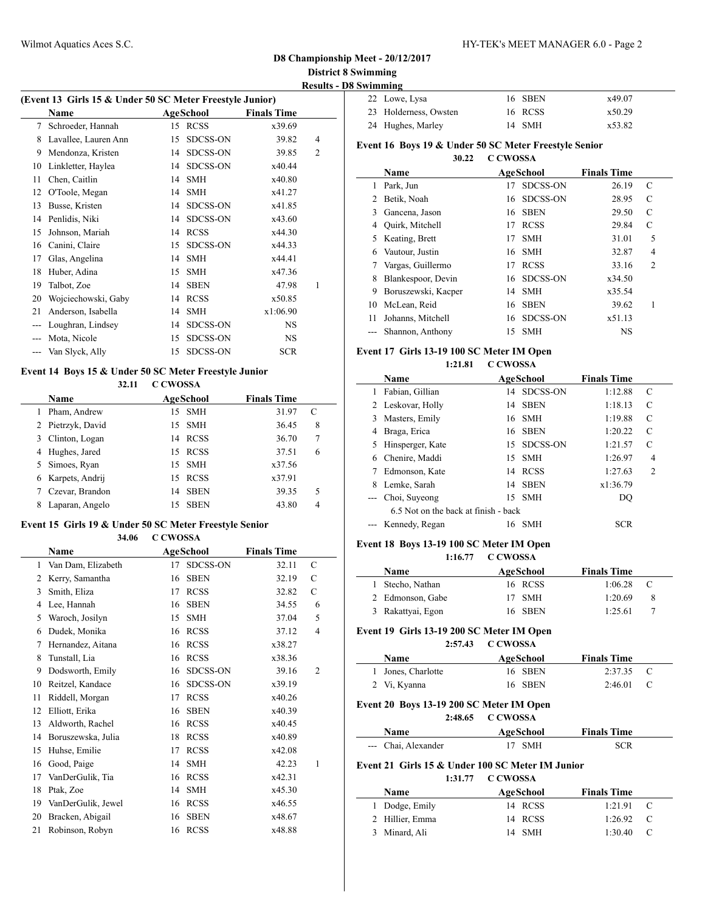**Results - D8 Swimming**

| (Event 13 Girls 15 & Under 50 SC Meter Freestyle Junior) |                      |    |                 |                    |                |  |
|----------------------------------------------------------|----------------------|----|-----------------|--------------------|----------------|--|
|                                                          | Name                 |    | AgeSchool       | <b>Finals Time</b> |                |  |
| 7                                                        | Schroeder, Hannah    | 15 | <b>RCSS</b>     | x39.69             |                |  |
| 8                                                        | Lavallee, Lauren Ann | 15 | SDCSS-ON        | 39.82              | 4              |  |
| 9                                                        | Mendonza, Kristen    | 14 | SDCSS-ON        | 39.85              | $\overline{2}$ |  |
| 10                                                       | Linkletter, Haylea   | 14 | SDCSS-ON        | x40.44             |                |  |
| 11                                                       | Chen, Caitlin        | 14 | <b>SMH</b>      | x40.80             |                |  |
| 12                                                       | O'Toole, Megan       | 14 | <b>SMH</b>      | x41.27             |                |  |
| 13                                                       | Busse, Kristen       | 14 | <b>SDCSS-ON</b> | x41.85             |                |  |
| 14                                                       | Penlidis, Niki       | 14 | SDCSS-ON        | x43.60             |                |  |
| 15                                                       | Johnson, Mariah      | 14 | <b>RCSS</b>     | x44.30             |                |  |
| 16                                                       | Canini, Claire       | 15 | <b>SDCSS-ON</b> | x44.33             |                |  |
| 17                                                       | Glas, Angelina       | 14 | <b>SMH</b>      | x44.41             |                |  |
| 18                                                       | Huber, Adina         | 15 | <b>SMH</b>      | x47.36             |                |  |
| 19                                                       | Talbot, Zoe          | 14 | <b>SBEN</b>     | 47.98              | 1              |  |
| 20                                                       | Wojciechowski, Gaby  | 14 | <b>RCSS</b>     | x50.85             |                |  |
| 21                                                       | Anderson, Isabella   | 14 | <b>SMH</b>      | x1:06.90           |                |  |
|                                                          | Loughran, Lindsey    | 14 | <b>SDCSS-ON</b> | <b>NS</b>          |                |  |
| $---$                                                    | Mota, Nicole         | 15 | <b>SDCSS-ON</b> | <b>NS</b>          |                |  |
| ---                                                      | Van Slyck, Ally      | 15 | <b>SDCSS-ON</b> | <b>SCR</b>         |                |  |

#### **Event 14 Boys 15 & Under 50 SC Meter Freestyle Junior**

#### **32.11 C CWOSSA**

|   | <b>Name</b>       |    | AgeSchool   | <b>Finals Time</b> |                |  |
|---|-------------------|----|-------------|--------------------|----------------|--|
|   | Pham, Andrew      |    | 15 SMH      | 31.97              | C              |  |
|   | 2 Pietrzyk, David |    | 15 SMH      | 36.45              | 8              |  |
| 3 | Clinton, Logan    | 14 | RCSS        | 36.70              | 7              |  |
| 4 | Hughes, Jared     |    | 15 RCSS     | 37.51              | 6              |  |
|   | 5 Simoes, Ryan    |    | 15 SMH      | x37.56             |                |  |
| 6 | Karpets, Andrij   |    | 15 RCSS     | x37.91             |                |  |
|   | Czevar, Brandon   | 14 | <b>SBEN</b> | 39.35              | 5              |  |
|   | Laparan, Angelo   | 15 | <b>SBEN</b> | 43.80              | $\overline{4}$ |  |

## **Event 15 Girls 19 & Under 50 SC Meter Freestyle Senior**

#### **34.06 C CWOSSA**

|                | Name               |    | AgeSchool       | <b>Finals Time</b> |                |  |
|----------------|--------------------|----|-----------------|--------------------|----------------|--|
| 1              | Van Dam, Elizabeth | 17 | <b>SDCSS-ON</b> | 32.11              | C              |  |
| $\overline{2}$ | Kerry, Samantha    | 16 | <b>SBEN</b>     | 32.19              | С              |  |
| 3              | Smith, Eliza       | 17 | <b>RCSS</b>     | 32.82              | С              |  |
| 4              | Lee, Hannah        | 16 | <b>SBEN</b>     | 34.55              | 6              |  |
| 5              | Waroch, Josilyn    | 15 | <b>SMH</b>      | 37.04              | 5              |  |
| 6              | Dudek, Monika      | 16 | <b>RCSS</b>     | 37.12              | $\overline{4}$ |  |
| 7              | Hernandez, Aitana  | 16 | <b>RCSS</b>     | x38.27             |                |  |
| 8              | Tunstall, Lia      | 16 | <b>RCSS</b>     | x38.36             |                |  |
| 9              | Dodsworth, Emily   | 16 | <b>SDCSS-ON</b> | 39.16              | 2              |  |
| 10             | Reitzel, Kandace   | 16 | <b>SDCSS-ON</b> | x39.19             |                |  |
| 11             | Riddell, Morgan    | 17 | <b>RCSS</b>     | x40.26             |                |  |
| 12             | Elliott, Erika     | 16 | <b>SBEN</b>     | x40.39             |                |  |
| 13             | Aldworth, Rachel   | 16 | <b>RCSS</b>     | x40.45             |                |  |
| 14             | Boruszewska, Julia | 18 | <b>RCSS</b>     | x40.89             |                |  |
| 15             | Huhse, Emilie      | 17 | <b>RCSS</b>     | x42.08             |                |  |
| 16             | Good, Paige        | 14 | <b>SMH</b>      | 42.23              | 1              |  |
| 17             | VanDerGulik, Tia   | 16 | <b>RCSS</b>     | x42.31             |                |  |
| 18             | Ptak, Zoe          | 14 | <b>SMH</b>      | x45.30             |                |  |
| 19             | VanDerGulik, Jewel | 16 | <b>RCSS</b>     | x46.55             |                |  |
| 20             | Bracken, Abigail   | 16 | <b>SBEN</b>     | x48.67             |                |  |
| 21             | Robinson, Robyn    | 16 | <b>RCSS</b>     | x48.88             |                |  |

| 22 Lowe, Lysa         | 16 SBEN | x49.07 |
|-----------------------|---------|--------|
| 23 Holderness, Owsten | 16 RCSS | x50.29 |
| 24 Hughes, Marley     | 14 SMH  | x53.82 |

#### **Event 16 Boys 19 & Under 50 SC Meter Freestyle Senior**

| 30.22 | C CWOSSA |
|-------|----------|
|-------|----------|

|    | Name                |     | <b>AgeSchool</b> | <b>Finals Time</b> |                |
|----|---------------------|-----|------------------|--------------------|----------------|
| 1  | Park, Jun           | 17  | <b>SDCSS-ON</b>  | 26.19              | C              |
| 2  | Betik, Noah         |     | 16 SDCSS-ON      | 28.95              | C              |
| 3  | Gancena, Jason      | 16. | SBEN             | 29.50              | C              |
| 4  | Quirk, Mitchell     | 17  | <b>RCSS</b>      | 29.84              | C              |
| 5. | Keating, Brett      | 17  | <b>SMH</b>       | 31.01              | 5              |
| 6  | Vautour, Justin     | 16. | <b>SMH</b>       | 32.87              | 4              |
|    | Vargas, Guillermo   | 17  | <b>RCSS</b>      | 33.16              | $\overline{c}$ |
| 8  | Blankespoor, Devin  |     | 16 SDCSS-ON      | x34.50             |                |
| 9  | Boruszewski, Kacper | 14  | <b>SMH</b>       | x35.54             |                |
| 10 | McLean, Reid        | 16  | <b>SBEN</b>      | 39.62              | 1              |
| 11 | Johanns, Mitchell   |     | 16 SDCSS-ON      | x51.13             |                |
|    | Shannon, Anthony    | 15  | <b>SMH</b>       | NS                 |                |

#### **Event 17 Girls 13-19 100 SC Meter IM Open**

**1:21.81 C CWOSSA**

|   | Name                                 |     | <b>AgeSchool</b> | <b>Finals Time</b> |                |
|---|--------------------------------------|-----|------------------|--------------------|----------------|
| 1 | Fabian, Gillian                      | 14  | SDCSS-ON         | 1:12.88            | C              |
|   | 2 Leskovar, Holly                    | 14  | <b>SBEN</b>      | 1:18.13            | C              |
| 3 | Masters, Emily                       |     | 16 SMH           | 1:19.88            | C              |
| 4 | Braga, Erica                         |     | 16 SBEN          | 1:20.22            | C              |
|   | 5 Hinsperger, Kate                   | 15  | SDCSS-ON         | 1:21.57            | C              |
| 6 | Chenire, Maddi                       | 15  | <b>SMH</b>       | 1:26.97            | 4              |
|   | Edmonson, Kate                       | 14  | <b>RCSS</b>      | 1:27.63            | $\overline{c}$ |
| 8 | Lemke, Sarah                         | 14  | <b>SBEN</b>      | x1:36.79           |                |
|   | Choi, Suveong                        | 15. | <b>SMH</b>       | DO                 |                |
|   | 6.5 Not on the back at finish - back |     |                  |                    |                |
|   | Kennedy, Regan                       | 16  | <b>SMH</b>       | <b>SCR</b>         |                |

#### **Event 18 Boys 13-19 100 SC Meter IM Open**

**1:16.77 C CWOSSA**

| <b>Name</b>       | AgeSchool | <b>Finals Time</b> |   |
|-------------------|-----------|--------------------|---|
| 1 Stecho, Nathan  | 16 RCSS   | 1:06.28            | C |
| 2 Edmonson, Gabe  | 17 SMH    | 1:20.69            | 8 |
| 3 Rakattyai, Egon | 16 SBEN   | 1:25.61            |   |

#### **Event 19 Girls 13-19 200 SC Meter IM Open**

|                    | 2:57.43 C CWOSSA |                    |  |
|--------------------|------------------|--------------------|--|
| <b>Name</b>        | AgeSchool        | <b>Finals Time</b> |  |
| 1 Jones, Charlotte | 16 SBEN          | 2:37.35 C          |  |
| 2 Vi, Kyanna       | 16 SBEN          | $2:46.01$ C        |  |

#### **Event 20 Boys 13-19 200 SC Meter IM Open**

|                     | 2:48.65 C CWOSSA |                    |  |
|---------------------|------------------|--------------------|--|
| Name                | AgeSchool        | <b>Finals Time</b> |  |
| --- Chai, Alexander | 17 SMH           | SCR                |  |

#### **Event 21 Girls 15 & Under 100 SC Meter IM Junior**

#### **1:31.77 C CWOSSA**

| <b>Name</b>     | AgeSchool | <b>Finals Time</b>     |
|-----------------|-----------|------------------------|
| 1 Dodge, Emily  | 14 RCSS   | $1:21.91$ C            |
| 2 Hillier, Emma | 14 RCSS   | $1:26.92$ C            |
| 3 Minard, Ali   | 14 SMH    | 1.3040<br>$\mathbf{C}$ |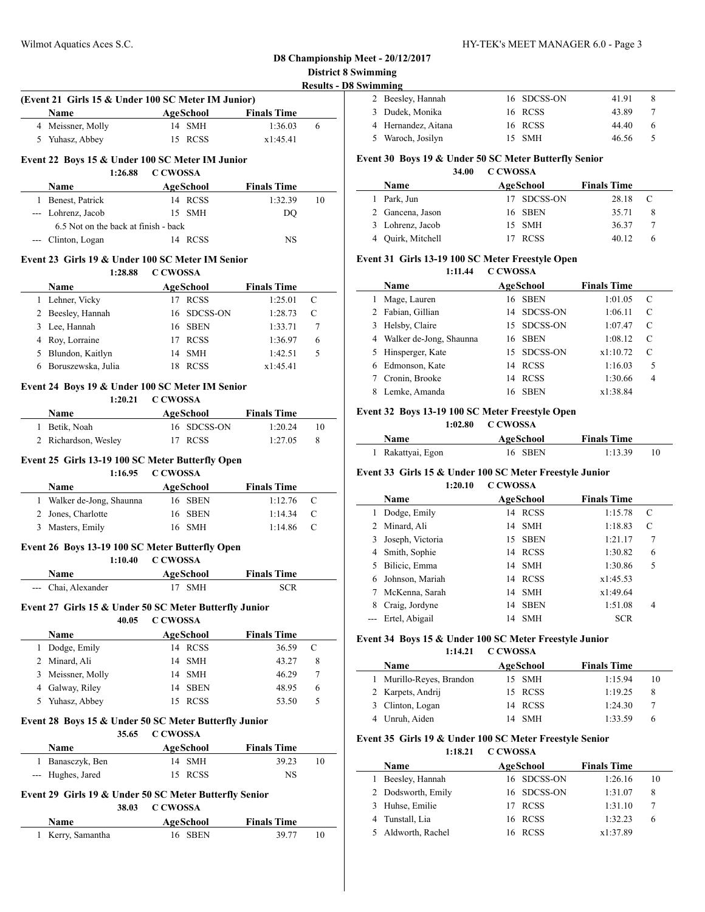## Wilmot Aquatics Aces S.C. HY-TEK's MEET MANAGER 6.0 - Page 3

## **D8 Championship Meet - 20/12/2017 District 8 Swimming**

| <b>Results - D8 Swimming</b> |
|------------------------------|
|------------------------------|

 $\sim$ 

 $\overline{a}$ 

 $\overline{\phantom{a}}$ 

| 2 Beesley, Hannah   | 16 SDCSS-ON | 41.91 |   |
|---------------------|-------------|-------|---|
| 3 Dudek, Monika     | 16 RCSS     | 43.89 |   |
| 4 Hernandez, Aitana | 16 RCSS     | 44.40 | h |
| 5 Waroch, Josilyn   | 15 SMH      | 46.56 | 5 |

#### **Event 30 Boys 19 & Under 50 SC Meter Butterfly Senior**

**34.00 C CWOSSA**

| Name              |  | AgeSchool   | <b>Finals Time</b> |     |
|-------------------|--|-------------|--------------------|-----|
| 1 Park, Jun       |  | 17 SDCSS-ON | 28.18              | - C |
| 2 Gancena, Jason  |  | 16 SBEN     | 35.71              |     |
| 3 Lohrenz, Jacob  |  | 15 SMH      | 36.37              |     |
| 4 Quirk, Mitchell |  | <b>RCSS</b> | 40.12              |     |

#### **Event 31 Girls 13-19 100 SC Meter Freestyle Open**

**1:11.44 C CWOSSA**

|   | Name                    | AgeSchool         | <b>Finals Time</b> |   |
|---|-------------------------|-------------------|--------------------|---|
|   | Mage, Lauren            | 16 SBEN           | 1:01.05            | C |
| 2 | Fabian, Gillian         | 14 SDCSS-ON       | 1:06.11            | C |
| 3 | Helsby, Claire          | 15 SDCSS-ON       | 1:07.47            | C |
| 4 | Walker de-Jong, Shaunna | 16 SBEN           | 1:08.12            | C |
|   | 5 Hinsperger, Kate      | 15 SDCSS-ON       | x1:10.72           | C |
| 6 | Edmonson, Kate          | <b>RCSS</b><br>14 | 1:16.03            | 5 |
|   | Cronin, Brooke          | <b>RCSS</b><br>14 | 1:30.66            | 4 |
|   | Lemke, Amanda           | SBEN<br>16.       | x1:38.84           |   |

#### **Event 32 Boys 13-19 100 SC Meter Freestyle Open**

**1:02.80 C CWOSSA**

| <b>Name</b>       | AgeSchool | <b>Finals Time</b> |  |
|-------------------|-----------|--------------------|--|
| 1 Rakattyai, Egon | 16 SBEN   | 1:13.39            |  |

#### **Event 33 Girls 15 & Under 100 SC Meter Freestyle Junior**

**1:20.10 C CWOSSA**

|   | <b>Name</b>      |     | AgeSchool   | <b>Finals Time</b> |   |
|---|------------------|-----|-------------|--------------------|---|
| 1 | Dodge, Emily     | 14  | <b>RCSS</b> | 1:15.78            | C |
|   | 2 Minard, Ali    | 14  | SMH         | 1:18.83            | C |
| 3 | Joseph, Victoria | 15. | <b>SBEN</b> | 1:21.17            | 7 |
|   | 4 Smith, Sophie  | 14  | <b>RCSS</b> | 1:30.82            | 6 |
| 5 | Bilicic, Emma    | 14  | SMH         | 1:30.86            | 5 |
| 6 | Johnson, Mariah  | 14  | <b>RCSS</b> | x1:45.53           |   |
|   | McKenna, Sarah   | 14  | <b>SMH</b>  | x1:49.64           |   |
| 8 | Craig, Jordyne   | 14  | <b>SBEN</b> | 1:51.08            | 4 |
|   | Ertel, Abigail   | 14  | <b>SMH</b>  | <b>SCR</b>         |   |

#### **Event 34 Boys 15 & Under 100 SC Meter Freestyle Junior 1:14.21 C CWOSSA**

| <b>Name</b>              | AgeSchool | <b>Finals Time</b> |    |
|--------------------------|-----------|--------------------|----|
| 1 Murillo-Reyes, Brandon | 15 SMH    | 1:15.94            | 10 |
| 2 Karpets, Andrij        | 15 RCSS   | 1:19.25            | 8  |
| 3 Clinton, Logan         | 14 RCSS   | 1:24.30            |    |
| 4 Unruh, Aiden           | 14 SMH    | 1.33.59            |    |

#### **Event 35 Girls 19 & Under 100 SC Meter Freestyle Senior**

**1:18.21 C CWOSSA**

| <b>Name</b>        | AgeSchool   | <b>Finals Time</b> |    |
|--------------------|-------------|--------------------|----|
| Beesley, Hannah    | 16 SDCSS-ON | 1:26.16            | 10 |
| 2 Dodsworth, Emily | 16 SDCSS-ON | 1:31.07            | 8  |
| 3 Huhse, Emilie    | 17 RCSS     | 1:31.10            |    |
| 4 Tunstall, Lia    | 16 RCSS     | 1:32.23            | 6  |
| 5 Aldworth, Rachel | 16 RCSS     | x1:37.89           |    |

|              |                                                            |                                               |                    | Results - |
|--------------|------------------------------------------------------------|-----------------------------------------------|--------------------|-----------|
|              | (Event 21 Girls 15 & Under 100 SC Meter IM Junior)<br>Name | <b>AgeSchool</b> Finals Time                  |                    |           |
|              | 4 Meissner, Molly                                          | 14 SMH                                        | 1:36.03            | 6         |
|              | 5 Yuhasz, Abbey                                            | 15 RCSS                                       | x1:45.41           |           |
|              |                                                            |                                               |                    |           |
|              | Event 22 Boys 15 & Under 100 SC Meter IM Junior            | 1:26.88 C CWOSSA                              |                    |           |
|              | Name                                                       | AgeSchool                                     | <b>Finals Time</b> |           |
|              | 1 Benest, Patrick                                          | 14 RCSS                                       | 1:32.39            | 10        |
|              | --- Lohrenz, Jacob                                         | 15 SMH                                        | DQ                 |           |
|              | 6.5 Not on the back at finish - back                       |                                               |                    |           |
|              | --- Clinton, Logan                                         | 14 RCSS                                       | NS                 |           |
|              | Event 23 Girls 19 & Under 100 SC Meter IM Senior           |                                               |                    |           |
|              | 1:28.88                                                    | C CWOSSA                                      |                    |           |
|              | Name                                                       | <b>Example 2.5 AgeSchool</b>                  | <b>Finals Time</b> |           |
|              | 1 Lehner, Vicky                                            | 17 RCSS<br><b>SDCSS-ON</b><br>16              | 1:25.01<br>1:28.73 | С<br>C    |
|              | 2 Beesley, Hannah<br>3 Lee, Hannah                         | 16 SBEN                                       | 1:33.71            | 7         |
|              | 4 Roy, Lorraine                                            | 17 RCSS                                       | 1:36.97            | 6         |
|              | 5 Blundon, Kaitlyn                                         | 14 SMH                                        | 1:42.51            | 5         |
| 6            | Boruszewska, Julia                                         | 18 RCSS                                       | x1:45.41           |           |
|              |                                                            |                                               |                    |           |
|              | Event 24 Boys 19 & Under 100 SC Meter IM Senior<br>1:20.21 | C CWOSSA                                      |                    |           |
|              | Name                                                       | AgeSchool                                     | <b>Finals Time</b> |           |
|              | 1 Betik, Noah                                              | 16 SDCSS-ON                                   | 1:20.24            | 10        |
|              | 2 Richardson, Wesley                                       | 17 RCSS                                       | 1:27.05            | 8         |
|              | Event 25 Girls 13-19 100 SC Meter Butterfly Open           |                                               |                    |           |
|              | 1:16.95<br>Name                                            | <b>C CWOSSA</b><br><b>Example 2 AgeSchool</b> | <b>Finals Time</b> |           |
|              | 1 Walker de-Jong, Shaunna                                  | 16 SBEN                                       | 1:12.76            | С         |
|              | 2 Jones, Charlotte                                         | 16<br><b>SBEN</b>                             | 1:14.34            | C         |
|              | 3 Masters, Emily                                           | 16 SMH                                        | 1:14.86            | C         |
|              |                                                            |                                               |                    |           |
|              | Event 26 Boys 13-19 100 SC Meter Butterfly Open<br>1:10.40 | <b>C CWOSSA</b>                               |                    |           |
|              | Name                                                       | <b>AgeSchool</b>                              | <b>Finals Time</b> |           |
|              | --- Chai. Alexander                                        | 17<br><b>SMH</b>                              | <b>SCR</b>         |           |
|              | Event 27 Girls 15 & Under 50 SC Meter Butterfly Junior     |                                               |                    |           |
|              | 40.05                                                      | C CWOSSA                                      |                    |           |
|              | Name                                                       | AgeSchool                                     | <b>Finals Time</b> |           |
| 1            | Dodge, Emily                                               | 14 RCSS                                       | 36.59              | С         |
|              | 2 Minard, Ali                                              | 14 SMH                                        | 43.27              | 8         |
|              | 3 Meissner, Molly                                          | 14 SMH                                        | 46.29              | 7         |
|              | 4 Galway, Riley                                            | 14 SBEN                                       | 48.95              | 6         |
| 5            | Yuhasz, Abbey                                              | 15 RCSS                                       | 53.50              | 5         |
|              | Event 28 Boys 15 & Under 50 SC Meter Butterfly Junior      |                                               |                    |           |
|              | 35.65<br>Name                                              | <b>C CWOSSA</b><br>AgeSchool                  | <b>Finals Time</b> |           |
| $\mathbf{1}$ | Banasczyk, Ben                                             | 14 SMH                                        | 39.23              | 10        |
| ---          | Hughes, Jared                                              | 15 RCSS                                       | NS                 |           |
|              |                                                            |                                               |                    |           |
|              | Event 29 Girls 19 & Under 50 SC Meter Butterfly Senior     |                                               |                    |           |
|              | 38.03                                                      | <b>C CWOSSA</b>                               |                    |           |
|              | Name                                                       | AgeSchool                                     | <b>Finals Time</b> |           |
|              | 1 Kerry, Samantha                                          | 16 SBEN                                       | 39.77              | 10        |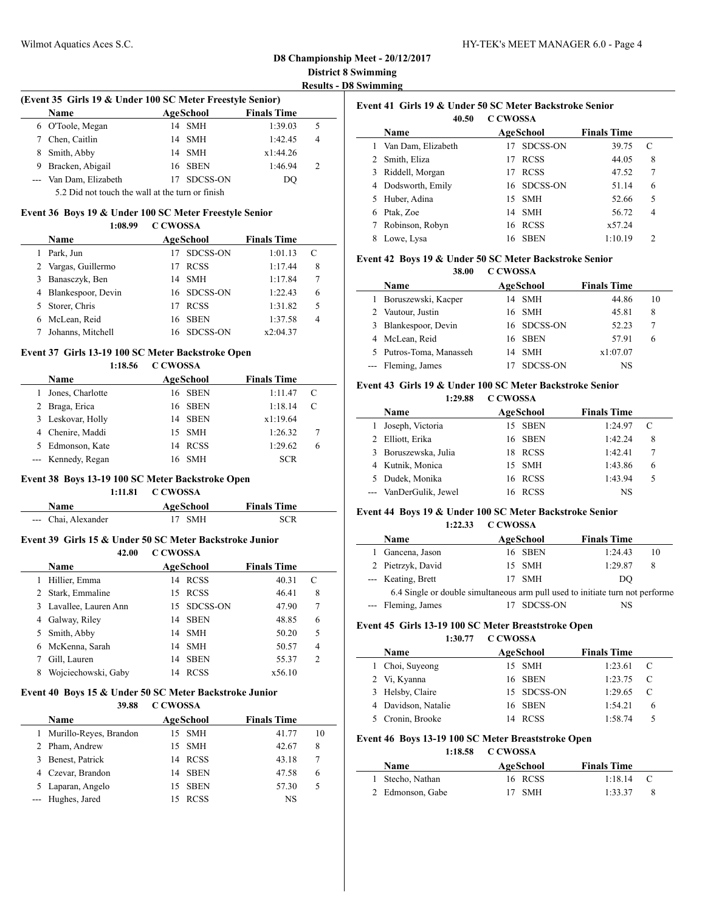#### **D8 Championship Meet - 20/12/2017 District 8 Swimming Results - D8 Swimming**

#### **(Event 35 Girls 19 & Under 100 SC Meter Freestyle Senior)**

| Name                   | AgeSchool   | <b>Finals Time</b> |   |  |
|------------------------|-------------|--------------------|---|--|
| 6 O'Toole, Megan       | 14 SMH      | 1:39.03            |   |  |
| 7 Chen, Caitlin        | 14 SMH      | 1:42.45            | 4 |  |
| 8 Smith, Abby          | 14 SMH      | x1:44.26           |   |  |
| 9 Bracken, Abigail     | 16 SBEN     | 1:46.94            |   |  |
| --- Van Dam, Elizabeth | 17 SDCSS-ON | DO                 |   |  |
|                        |             |                    |   |  |

5.2 Did not touch the wall at the turn or finish

#### **Event 36 Boys 19 & Under 100 SC Meter Freestyle Senior 1:08.99 C CWOSSA**

| <b>Name</b>          | AgeSchool         | <b>Finals Time</b> |   |  |
|----------------------|-------------------|--------------------|---|--|
| Park, Jun            | SDCSS-ON          | 1:01.13            |   |  |
| 2 Vargas, Guillermo  | <b>RCSS</b>       | 1:17.44            | 8 |  |
| Banasczyk, Ben       | 14 SMH            | 1:17.84            | 7 |  |
| 4 Blankespoor, Devin | 16 SDCSS-ON       | 1:22.43            | 6 |  |
| Storer, Chris        | <b>RCSS</b><br>17 | 1:31.82            | 5 |  |
| McLean, Reid         | 16 SBEN           | 1:37.58            | 4 |  |
| Johanns, Mitchell    | 16 SDCSS-ON       | x2:04.37           |   |  |
|                      |                   |                    |   |  |

#### **Event 37 Girls 13-19 100 SC Meter Backstroke Open**

**1:18.56 C CWOSSA**

| Name               |    | AgeSchool   | <b>Finals Time</b> |   |
|--------------------|----|-------------|--------------------|---|
| Jones, Charlotte   |    | 16 SBEN     | 1:11.47            | C |
| 2 Braga, Erica     |    | 16 SBEN     | 1:18.14            |   |
| 3 Leskovar, Holly  |    | 14 SBEN     | x1:19.64           |   |
| 4 Chenire, Maddi   |    | 15 SMH      | 1:26.32            | 7 |
| 5 Edmonson, Kate   | 14 | <b>RCSS</b> | 1:29.62            | 6 |
| --- Kennedy, Regan | 16 | <b>SMH</b>  | SCR                |   |

# **Event 38 Boys 13-19 100 SC Meter Backstroke Open**

| 1:11.81 | <b>C CWOSSA</b> |
|---------|-----------------|
|---------|-----------------|

| Name                | AgeSchool | <b>Finals Time</b> |  |
|---------------------|-----------|--------------------|--|
| --- Chai, Alexander | 17 SMH    | <b>SCR</b>         |  |

#### **Event 39 Girls 15 & Under 50 SC Meter Backstroke Junior 42.00 C CWOSSA**

| <b>Name</b>         |                                                                                                   |             | <b>Finals Time</b>                                                                   |                |
|---------------------|---------------------------------------------------------------------------------------------------|-------------|--------------------------------------------------------------------------------------|----------------|
| Hillier, Emma       | 14                                                                                                |             | 40.31                                                                                | C              |
|                     |                                                                                                   |             | 46.41                                                                                | 8              |
|                     |                                                                                                   |             | 47.90                                                                                | 7              |
|                     | 14                                                                                                | <b>SBEN</b> | 48.85                                                                                | 6              |
|                     |                                                                                                   |             | 50.20                                                                                | 5              |
|                     | 14                                                                                                |             | 50.57                                                                                | $\overline{4}$ |
| Gill, Lauren        | 14                                                                                                | <b>SBEN</b> | 55.37                                                                                | $\overline{2}$ |
| Wojciechowski, Gaby | 14                                                                                                |             | x56.10                                                                               |                |
|                     | 2 Stark, Emmaline<br>3 Lavallee, Lauren Ann<br>Galway, Riley<br>5 Smith, Abby<br>6 McKenna, Sarah |             | AgeSchool<br><b>RCSS</b><br>15 RCSS<br>15 SDCSS-ON<br>14 SMH<br>- SMH<br><b>RCSS</b> |                |

#### **Event 40 Boys 15 & Under 50 SC Meter Backstroke Junior**

#### **39.88 C CWOSSA**

|    | Name                   |    | AgeSchool   | <b>Finals Time</b> |    |
|----|------------------------|----|-------------|--------------------|----|
| 1. | Murillo-Reyes, Brandon |    | 15 SMH      | 41.77              | 10 |
|    | Pham, Andrew           |    | 15 SMH      | 42.67              | 8  |
| 3  | Benest, Patrick        |    | 14 RCSS     | 43.18              |    |
|    | 4 Czevar, Brandon      | 14 | <b>SBEN</b> | 47.58              | 6  |
|    | Laparan, Angelo        |    | 15 SBEN     | 57.30              | 5  |
|    | --- Hughes, Jared      |    | <b>RCSS</b> | NS                 |    |

| Event 41 Girls 19 & Under 50 SC Meter Backstroke Senior |                    |          |             |                    |   |
|---------------------------------------------------------|--------------------|----------|-------------|--------------------|---|
|                                                         | 40.50              | C CWOSSA |             |                    |   |
|                                                         | Name               |          | AgeSchool   | <b>Finals Time</b> |   |
|                                                         | Van Dam, Elizabeth | 17       | SDCSS-ON    | 39.75              | C |
|                                                         | 2 Smith, Eliza     | 17       | <b>RCSS</b> | 44.05              | 8 |
| 3                                                       | Riddell, Morgan    | 17       | <b>RCSS</b> | 47.52              | 7 |
| 4                                                       | Dodsworth, Emily   |          | 16 SDCSS-ON | 51.14              | 6 |
| 5.                                                      | Huber, Adina       |          | 15 SMH      | 52.66              | 5 |
| 6                                                       | Ptak, Zoe          | 14       | <b>SMH</b>  | 56.72              | 4 |
|                                                         | Robinson, Robyn    | 16       | <b>RCSS</b> | x57.24             |   |
| 8                                                       | Lowe, Lysa         | 16       | <b>SBEN</b> | 1:10.19            | 2 |

#### **Event 42 Boys 19 & Under 50 SC Meter Backstroke Senior 38.00 C CWOSSA**

| 10 |
|----|
|    |
|    |
|    |
|    |
|    |
|    |

#### **Event 43 Girls 19 & Under 100 SC Meter Backstroke Senior 1:29.88 C CWOSSA**

| <b>Name</b>            | AgeSchool | <b>Finals Time</b> |   |
|------------------------|-----------|--------------------|---|
| Joseph, Victoria       | 15 SBEN   | 1:24.97            | C |
| 2 Elliott, Erika       | 16 SBEN   | 1:42.24            | 8 |
| 3 Boruszewska, Julia   | 18 RCSS   | 1:42.41            |   |
| 4 Kutnik, Monica       | 15 SMH    | 1:43.86            | 6 |
| 5 Dudek, Monika        | 16 RCSS   | 1:43.94            | 5 |
| --- VanDerGulik, Jewel | RCSS      | NS                 |   |

## **Event 44 Boys 19 & Under 100 SC Meter Backstroke Senior**

**1:22.33 C CWOSSA**

| <b>Name</b>                                                                   |    | AgeSchool  | <b>Finals Time</b> |    |
|-------------------------------------------------------------------------------|----|------------|--------------------|----|
| Gancena, Jason                                                                |    | 16 SBEN    | 1:24.43            | 10 |
| 2 Pietrzyk, David                                                             |    | 15 SMH     | 1:29.87            | 8  |
| --- Keating, Brett                                                            | 17 | <b>SMH</b> | DO                 |    |
| 6.4 Single or double simultaneous arm pull used to initiate turn not performe |    |            |                    |    |
| --- Fleming, James                                                            |    | SDCSS-ON   | NS                 |    |

#### **Event 45 Girls 13-19 100 SC Meter Breaststroke Open**

**1:30.77 C CWOSSA**

| <b>Name</b>         | AgeSchool   | <b>Finals Time</b> |                |
|---------------------|-------------|--------------------|----------------|
| 1 Choi, Suyeong     | 15 SMH      | 1:23.61            |                |
| 2 Vi, Kyanna        | 16 SBEN     | 1:23.75            | $\overline{c}$ |
| 3 Helsby, Claire    | 15 SDCSS-ON | 1:29.65            |                |
| 4 Davidson, Natalie | 16 SBEN     | 1:54.21            | 6              |
| 5 Cronin, Brooke    | RCSS        | 1:58.74            | 5              |

#### **Event 46 Boys 13-19 100 SC Meter Breaststroke Open**

**1:18.58 C CWOSSA**

| Name             | AgeSchool | <b>Finals Time</b> |     |
|------------------|-----------|--------------------|-----|
| 1 Stecho, Nathan | 16 RCSS   | 1:18.14            | - 0 |
| 2 Edmonson, Gabe | 17 SMH    | 1:33.37            |     |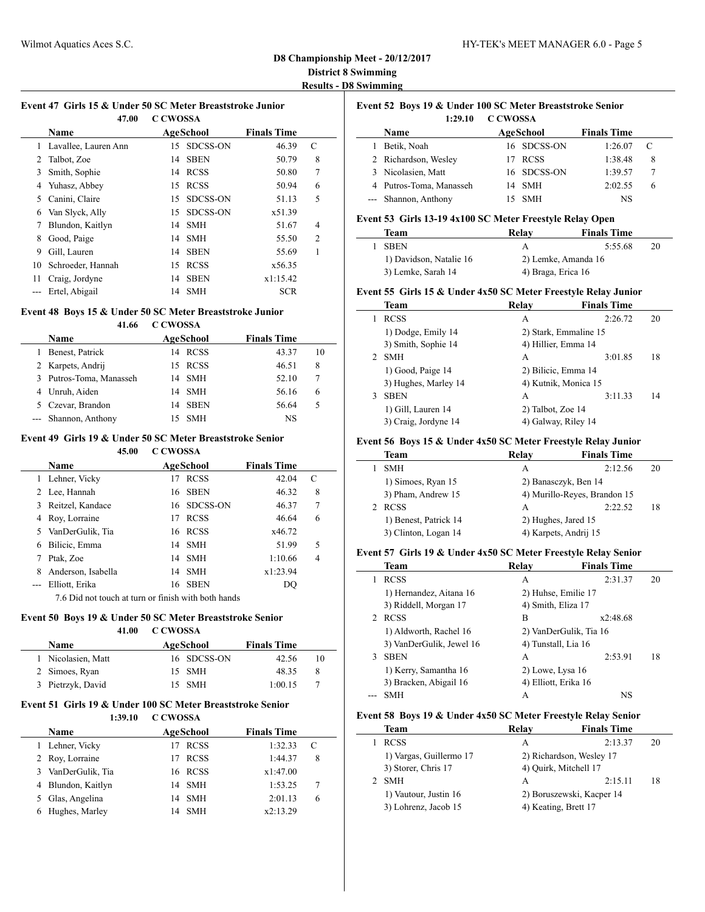#### **D8 Championship Meet - 20/12/2017 District 8 Swimming Results - D8 Swimming**

 $\frac{1}{2}$ 

## **Event 47 Girls 15 & Under 50 SC Meter Breaststroke Junior**

|    | 47.00                  | <b>C CWOSSA</b> |                 |                    |                |  |
|----|------------------------|-----------------|-----------------|--------------------|----------------|--|
|    | <b>Name</b>            |                 | AgeSchool       | <b>Finals Time</b> |                |  |
|    | 1 Lavallee, Lauren Ann | 15.             | <b>SDCSS-ON</b> | 46.39              | C              |  |
| 2  | Talbot, Zoe            | 14              | <b>SBEN</b>     | 50.79              | 8              |  |
| 3  | Smith, Sophie          |                 | 14 RCSS         | 50.80              | 7              |  |
| 4  | Yuhasz, Abbey          | 15              | <b>RCSS</b>     | 50.94              | 6              |  |
| 5  | Canini, Claire         | 15              | <b>SDCSS-ON</b> | 51.13              | 5              |  |
| 6  | Van Slyck, Ally        | 15              | <b>SDCSS-ON</b> | x51.39             |                |  |
|    | Blundon, Kaitlyn       |                 | 14 SMH          | 51.67              | 4              |  |
| 8  | Good, Paige            | 14              | <b>SMH</b>      | 55.50              | $\overline{2}$ |  |
| 9  | Gill, Lauren           | 14              | <b>SBEN</b>     | 55.69              | 1              |  |
| 10 | Schroeder, Hannah      | 15              | <b>RCSS</b>     | x56.35             |                |  |
| 11 | Craig, Jordyne         | 14              | <b>SBEN</b>     | x1:15.42           |                |  |
|    | Ertel, Abigail         | 14              | <b>SMH</b>      | <b>SCR</b>         |                |  |

#### **Event 48 Boys 15 & Under 50 SC Meter Breaststroke Junior**

#### **41.66 C CWOSSA**

|    | Name                  | AgeSchool  | <b>Finals Time</b> |    |
|----|-----------------------|------------|--------------------|----|
|    | Benest, Patrick       | 14 RCSS    | 43.37              | 10 |
|    | 2 Karpets, Andrij     | 15 RCSS    | 46.51              | 8  |
| 3. | Putros-Toma, Manasseh | 14 SMH     | 52.10              |    |
|    | 4 Unruh, Aiden        | 14 SMH     | 56.16              | 6  |
|    | 5 Czevar, Brandon     | 14 SBEN    | 56.64              | 5  |
|    | --- Shannon, Anthony  | <b>SMH</b> | NS                 |    |

## **Event 49 Girls 19 & Under 50 SC Meter Breaststroke Senior**

**45.00 C CWOSSA**

|   | Name               |    | AgeSchool   | <b>Finals Time</b> |   |
|---|--------------------|----|-------------|--------------------|---|
|   | Lehner, Vicky      | 17 | <b>RCSS</b> | 42.04              | C |
|   | 2 Lee, Hannah      |    | 16 SBEN     | 46.32              | 8 |
| 3 | Reitzel, Kandace   |    | 16 SDCSS-ON | 46.37              | 7 |
| 4 | Roy, Lorraine      | 17 | <b>RCSS</b> | 46.64              | 6 |
|   | 5 VanDerGulik, Tia |    | 16 RCSS     | x46.72             |   |
| 6 | Bilicic, Emma      |    | 14 SMH      | 51.99              | 5 |
|   | Ptak, Zoe          |    | 14 SMH      | 1:10.66            | 4 |
| 8 | Anderson, Isabella |    | 14 SMH      | x1:23.94           |   |
|   | Elliott, Erika     |    | 16 SBEN     | DO                 |   |
|   |                    |    |             |                    |   |

7.6 Did not touch at turn or finish with both hands

### **Event 50 Boys 19 & Under 50 SC Meter Breaststroke Senior**

**41.00 C CWOSSA**

| Name               | AgeSchool   | <b>Finals Time</b> |    |
|--------------------|-------------|--------------------|----|
| 1 Nicolasien, Matt | 16 SDCSS-ON | 42.56              | 10 |
| 2 Simoes, Ryan     | 15 SMH      | 48.35              | 8  |
| 3 Pietrzyk, David  | 15 SMH      | 1:00.15            |    |

#### **Event 51 Girls 19 & Under 100 SC Meter Breaststroke Senior 1:39.10 C CWOSSA**

| <b>Name</b>        | AgeSchool | <b>Finals Time</b> |   |
|--------------------|-----------|--------------------|---|
| 1 Lehner, Vicky    | 17 RCSS   | 1:32.33            | C |
| 2 Roy, Lorraine    | 17 RCSS   | 1:44.37            | 8 |
| 3 VanDerGulik, Tia | 16 RCSS   | x1:47.00           |   |
| 4 Blundon, Kaitlyn | 14 SMH    | 1:53.25            |   |
| 5 Glas, Angelina   | 14 SMH    | 2:01.13            | 6 |
| Hughes, Marley     | 14 SMH    | x2:13.29           |   |

|         |          | Event 52 Boys 19 & Under 100 SC Meter Breaststroke Senior |
|---------|----------|-----------------------------------------------------------|
| 1:29.10 | C CWOSSA |                                                           |

| <b>Name</b>             | AgeSchool   | <b>Finals Time</b> |   |
|-------------------------|-------------|--------------------|---|
| Betik, Noah             | 16 SDCSS-ON | 1:26.07            |   |
| 2 Richardson, Wesley    | <b>RCSS</b> | 1:38.48            |   |
| 3 Nicolasien, Matt      | 16 SDCSS-ON | 1:39.57            |   |
| 4 Putros-Toma, Manasseh | 14 SMH      | 2:02.55            | h |
| --- Shannon, Anthony    | 15 SMH      | NS                 |   |

#### **Event 53 Girls 13-19 4x100 SC Meter Freestyle Relay Open**

| Team                    | Relav              | <b>Finals Time</b>  |    |
|-------------------------|--------------------|---------------------|----|
| <b>SBEN</b>             | А                  | 5:55.68             | 20 |
| 1) Davidson, Natalie 16 |                    | 2) Lemke, Amanda 16 |    |
| 3) Lemke, Sarah 14      | 4) Braga, Erica 16 |                     |    |

#### **Event 55 Girls 15 & Under 4x50 SC Meter Freestyle Relay Junior**

|               | Team                 | Relav                 | <b>Finals Time</b> |    |
|---------------|----------------------|-----------------------|--------------------|----|
|               | <b>RCSS</b>          | A                     | 2:26.72            | 20 |
|               | 1) Dodge, Emily 14   | 2) Stark, Emmaline 15 |                    |    |
|               | 3) Smith, Sophie 14  | 4) Hillier, Emma 14   |                    |    |
| $\mathcal{P}$ | <b>SMH</b>           | A                     | 3:01.85            | 18 |
|               | 1) Good, Paige 14    | 2) Bilicic, Emma 14   |                    |    |
|               | 3) Hughes, Marley 14 | 4) Kutnik, Monica 15  |                    |    |
| 3             | <b>SBEN</b>          | A                     | 3:11.33            | 14 |
|               | 1) Gill, Lauren 14   | 2) Talbot, Zoe 14     |                    |    |
|               | 3) Craig, Jordyne 14 | 4) Galway, Riley 14   |                    |    |

#### **Event 56 Boys 15 & Under 4x50 SC Meter Freestyle Relay Junior**

| Team                  | Relay | <b>Finals Time</b>           |    |
|-----------------------|-------|------------------------------|----|
| <b>SMH</b>            | A     | 2:12.56                      | 20 |
| 1) Simoes, Ryan 15    |       | 2) Banasczyk, Ben 14         |    |
| 3) Pham, Andrew 15    |       | 4) Murillo-Reyes, Brandon 15 |    |
| <b>RCSS</b>           | A     | 2:22.52                      | 18 |
| 1) Benest, Patrick 14 |       | 2) Hughes, Jared 15          |    |
| 3) Clinton, Logan 14  |       | 4) Karpets, Andrij 15        |    |

#### **Event 57 Girls 19 & Under 4x50 SC Meter Freestyle Relay Senior**

|   | <b>Team</b>              | Relav                  | <b>Finals Time</b> |    |
|---|--------------------------|------------------------|--------------------|----|
|   | <b>RCSS</b>              | А                      | 2:31.37            | 20 |
|   | 1) Hernandez, Aitana 16  | 2) Huhse, Emilie 17    |                    |    |
|   | 3) Riddell, Morgan 17    | 4) Smith, Eliza 17     |                    |    |
|   | <b>RCSS</b>              | в                      | x2:48.68           |    |
|   | 1) Aldworth, Rachel 16   | 2) VanDerGulik, Tia 16 |                    |    |
|   | 3) VanDerGulik, Jewel 16 | 4) Tunstall, Lia 16    |                    |    |
| 3 | <b>SBEN</b>              | A                      | 2:53.91            | 18 |
|   | 1) Kerry, Samantha 16    | 2) Lowe, Lysa 16       |                    |    |
|   | 3) Bracken, Abigail 16   | 4) Elliott, Erika 16   |                    |    |
|   | SMH                      | А                      | NS                 |    |

#### **Event 58 Boys 19 & Under 4x50 SC Meter Freestyle Relay Senior**

| Team                    | Relay | <b>Finals Time</b>        |    |
|-------------------------|-------|---------------------------|----|
| <b>RCSS</b>             | А     | 2:13.37                   | 20 |
| 1) Vargas, Guillermo 17 |       | 2) Richardson, Wesley 17  |    |
| 3) Storer, Chris 17     |       | 4) Ouirk, Mitchell 17     |    |
| <b>SMH</b>              | A     | 2:15.11                   | 18 |
| 1) Vautour, Justin 16   |       | 2) Boruszewski, Kacper 14 |    |
| 3) Lohrenz, Jacob 15    |       | 4) Keating, Brett 17      |    |